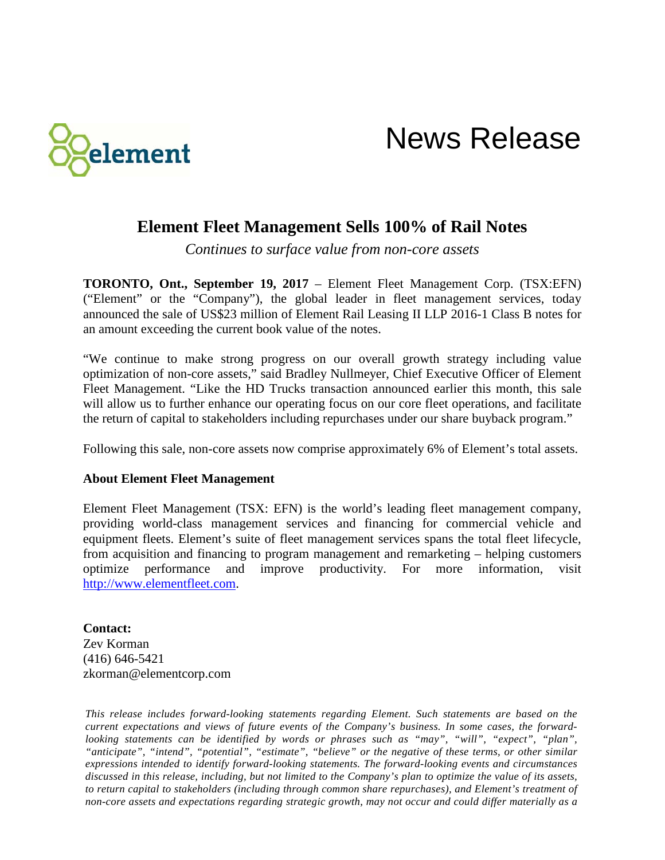

## News Release

## **Element Fleet Management Sells 100% of Rail Notes**

*Continues to surface value from non-core assets*

**TORONTO, Ont., September 19, 2017** – Element Fleet Management Corp. (TSX:EFN) ("Element" or the "Company"), the global leader in fleet management services, today announced the sale of US\$23 million of Element Rail Leasing II LLP 2016-1 Class B notes for an amount exceeding the current book value of the notes.

"We continue to make strong progress on our overall growth strategy including value optimization of non-core assets," said Bradley Nullmeyer, Chief Executive Officer of Element Fleet Management. "Like the HD Trucks transaction announced earlier this month, this sale will allow us to further enhance our operating focus on our core fleet operations, and facilitate the return of capital to stakeholders including repurchases under our share buyback program."

Following this sale, non-core assets now comprise approximately 6% of Element's total assets.

## **About Element Fleet Management**

Element Fleet Management (TSX: EFN) is the world's leading fleet management company, providing world-class management services and financing for commercial vehicle and equipment fleets. Element's suite of fleet management services spans the total fleet lifecycle, from acquisition and financing to program management and remarketing – helping customers optimize performance and improve productivity. For more information, visit [http://www.elementfleet.com.](http://www.elementfleet.com/)

**Contact:** Zev Korman (416) 646-5421 zkorman@elementcorp.com

*This release includes forward-looking statements regarding Element. Such statements are based on the current expectations and views of future events of the Company's business. In some cases, the forwardlooking statements can be identified by words or phrases such as "may", "will", "expect", "plan", "anticipate", "intend", "potential", "estimate", "believe" or the negative of these terms, or other similar expressions intended to identify forward-looking statements. The forward-looking events and circumstances discussed in this release, including, but not limited to the Company's plan to optimize the value of its assets, to return capital to stakeholders (including through common share repurchases), and Element's treatment of non-core assets and expectations regarding strategic growth, may not occur and could differ materially as a*